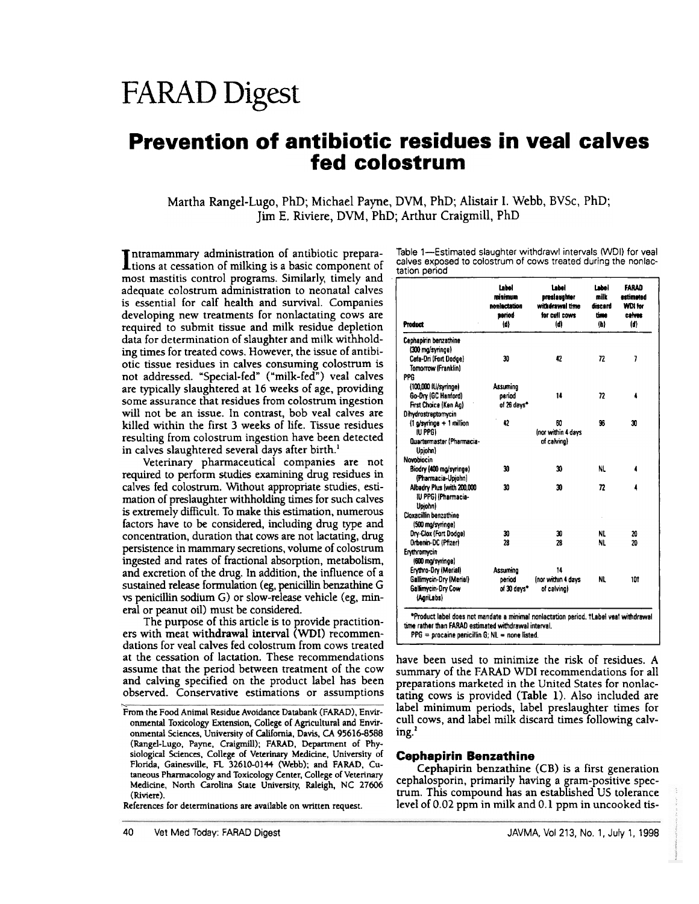# FARAD Digest

# Prevention of antibiotic residues in veal calves fed colostrum

Martha Rangel-Lugo, PhD; Michael Payne, DVM, PhD; Alistair 1. Webb, BVSc, PhD; Jim E. Riviere, DVM, PhD; Arthur Craigmill, PhD

Intramammary administration of antibiotic preparations at cessation of milking is a basic component of most mastitis control programs. Similarly, timely and adequate colostrum administration to neonatal calves is essential for calf health and survival. Companies developing new treatments for nonlactating cows are required to submit tissue and milk residue depletion data for determination of slaughter and milk withholding times for treated cows. However, the issue of antibiotic tissue residues in calves consuming colostrum is not addressed. "Special-fed" ("milk-fed") veal calves are typically slaughtered at 16 weeks of age, providing some assurance that residues from colostrum ingestion will not be an issue. In contrast, bob veal calves are killed within the first 3 weeks of life. Tissue residues resulting from colostrum ingestion have been detected in calves slaughtered several days after birth.<sup>1</sup>

Veterinary pharmaceutical companies are not required to perform studies examining drug residues in calves fed colostrum. Without appropriate studies, estimation of presJaughter withholding times for such calves is extremely difficult. To make this estimation, numerous factors have to be considered, including drug type and concentration, duration that cows are not lactating, drug persistence in mammary secretions, volume of colostrum ingested and rates of fractional absorption, metabolism, and excretion of the drug. In addition, the influence of a sustained release formulation (eg, penicillin benzathine G vs penicillin sodium G) or slow-release vehicle (eg, mineral or peanut oil) must be considered.

The purpose of this article is to provide practitioners with meat withdrawal interval (WDI) recommendations for veal calves fed colostrum from cows treated at the cessation of lactation. These recommendations assume that the period between treatment of the cow and calving specified on the product label has been observed. Conservative estimations or assumptions

References for determinations are available on written request.

Table 1-Estimated slaughter withdrawl intervals (WDI) for veal calves exposed to colostrum of cows treated during the nonlactation period

| <b>Product</b>                                                      | Label<br>minimum<br>nonlactation<br>period<br>(d) | <b>Label</b><br>preslaughter<br>withdrawal time<br>for cull cows<br>(d) | امضا<br>milk<br>discard<br>time<br>(b) | <b>FARAD</b><br><i>estimated</i><br>WDI for<br>calves<br>(d) |
|---------------------------------------------------------------------|---------------------------------------------------|-------------------------------------------------------------------------|----------------------------------------|--------------------------------------------------------------|
| Cephapirin benzathine<br>(300 mg/syringe)                           |                                                   |                                                                         |                                        |                                                              |
| Cefa-Dri (Fort Dodge)<br>Tomorrow (Franklin)<br>PPG                 | 30                                                | 42                                                                      | 72                                     | 7                                                            |
| (100,000 IU/syringe)                                                | Assuming                                          |                                                                         |                                        |                                                              |
| Go-Dry (GC Hanford)<br>First Choice (Ken Ag)<br>Dihydrostraptomycin | period<br>of 26 days*                             | 14                                                                      | 72                                     | 4                                                            |
| (1 a/syringe + 1 million<br>IU PPG)<br>Quartermaster (Pharmacia-    | 42                                                | 60<br>Inor within 4 days<br>of calvinal                                 | 96                                     | 30                                                           |
| Upjohn)                                                             |                                                   |                                                                         |                                        |                                                              |
| Novobiocin                                                          |                                                   |                                                                         |                                        |                                                              |
| Biodry (400 mg/syringe)<br>(Pharmacia-Upiohn)                       | 30                                                | 30                                                                      | NL.                                    |                                                              |
| Albadry Plus (with 200,000<br>IU PPGI (Pharmacia-<br>Uniohn)        | 30                                                | 30                                                                      | $\overline{\bf n}$                     | 4                                                            |
| Cloxacillin benzathine<br>(500 mg/syringe)                          |                                                   |                                                                         |                                        |                                                              |
| Dry-Clox (Fort Dodge)                                               | 30                                                | 30                                                                      | NL                                     | 20                                                           |
| Orbenin-DC (Pfizer)                                                 | 28                                                | 28                                                                      | NL.                                    | 20                                                           |
| Erythromycin<br>(600 mg/syringe)                                    |                                                   |                                                                         |                                        |                                                              |
| Erythro-Dry (Merial)                                                | Assuming                                          | 14                                                                      |                                        |                                                              |
| Gallimycin-Dry (Merial)<br>Gallimycin-Drv Cow<br>(AgriLabs)         | period<br>of 30 days*                             | inor within 4 days<br>of calving)                                       | NI.                                    | 101                                                          |

time rather than FARAD estimated withdrawal interval.<br> $PPG =$  procaine penicilin G; NL = none listed.

have been used to minimize the risk of residues. A summary of the FARAD WDI recommendations for all preparations marketed in the United States for nonlactating cows is provided (Table 1). Also included are label minimum periods, label preslaughter times for cull cows, and label milk discard times following calving:

#### **Cephapirin Benzathine**

Cephapirin benzathine  $(CB)$  is a first generation cephalosporin, primarily having a gram-positive spectrum. This compound has an established US tolerance level of 0.02 ppm in milk and 0.1 ppm in uncooked tis-

From the Food Animal Residue Avoidance Databank (FARAD), Environmental Toxicology Extension, College of Agricultural and Environmental Sciences, University of California, Davis, CA 95616-8588 (Rangel-Lugo, Payne, Craigmill); FARAD, Department of Physiological Sciences, College of Veterinary Medicine, University of Florida, Gainesville, FL 32610-0144 (Webb); and FARAD, Cutaneous Pharmacology and Toxicology Center, College of Veterinary Medicine, North Carolina State University, Raleigh, NC 27606 (Riviere).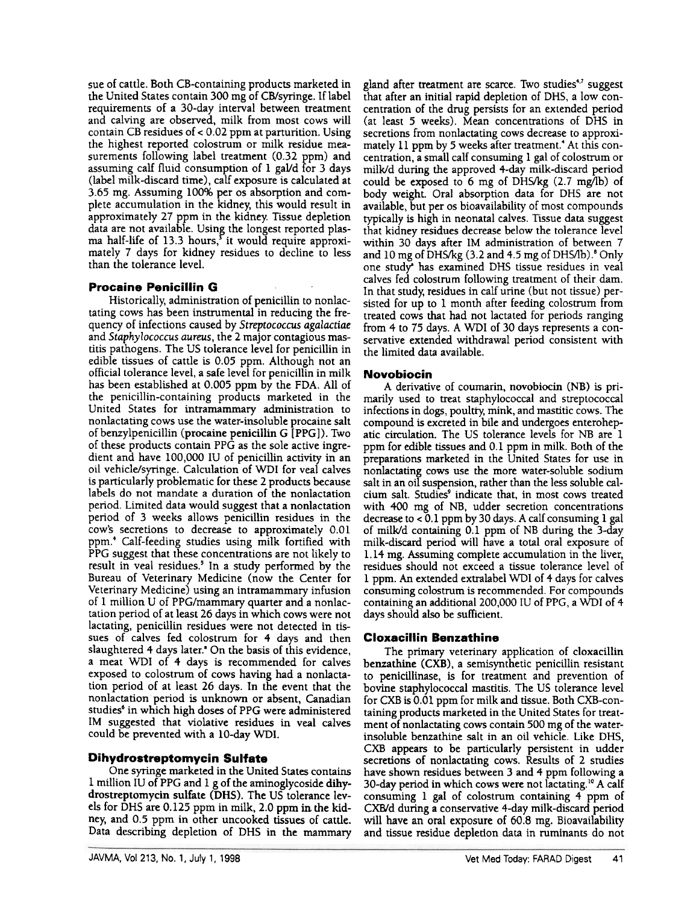sue of cattle. Both CB-containing products marketed in the United States contain 300 mg of CB/syringe. If label requirements of a 3O-day interval between treatment and calving are observed, milk from most cows will contain CB residues of  $< 0.02$  ppm at parturition. Using the highest reported colostrum or milk residue measurements following label treatment (0.32 ppm) and assuming calf fluid consumption of 1 gaVd for 3 days (label milk-discard time), calf exposure is calculated at 3.65 mg. Assuming 100% per os absorption and complete accumulation in the kidney, this would result in approximately 27 ppm in the kidney. Tissue depletion data are not available. Using the longest reported plasma half-life of 13.3 hours,<sup>5</sup> it would require approximately 7 days for kidney residues to decline to less than the tolerance level.

### Procaine Penicillin G

Historically, administration of penicillin to nonlactating cows has been instrumental in reducing the frequency of infections caused by Streptococcus agalactiae and Staphylococcus aureus, the 2 major contagious mastitis pathogens. The US tolerance level for penicillin in edible tissues of cattle is 0.05 ppm. Although not an official tolerance level, a safe level for penicillin in milk has been established at 0.005 ppm by the FDA, All of the penicillin-containing products marketed in the United States for intramammary administration to nonlactating cows use the water-insoluble procaine salt of benzylpenicillin (procaine penicillin G [PPG)). Two of these products contain PPG as the sole active ingredient and have 100,000 IU of penicillin activity in an oil vehicle/syringe, Calculation of WDI for veal calves is particularly problematic for these 2 products because labels do not mandate a duration of the nonlactation period. Limited data would suggest that a nonlactation period of 3 weeks allows penicillin residues in the coW's secretions to decrease to approximately 0.01 ppm.<sup>4</sup> Calf-feeding studies using milk fortified with PPG suggest that these concentrations are not likely to result in veal residues,' In a study performed by the Bureau of Veterinary Medicine (now the Center for Veterinary Medicine) using an intramammary infusion of 1 million U of PPG/mammary quarter and a nonlactation period of at least 26 days in which cows were not lactating, penicillin residues were not detected in tissues of calves fed colostrum for 4 days and then slaughtered 4 days later,' On the basis of this evidence, a meat WDI of 4 days is recommended for calves exposed to colostrum of cows having had a nonlactation period of at least 26 days. In the event that the nonlactation period is unknown or absent, Canadian studies' in which high doses of PPG were administered 1M suggested that violative residues in veal calves could be prevented with a 10-day WDI.

#### Dihydrostreptomycin Sulfate

One syringe marketed in the United States contains 1 million IU of PPG and 1 g of the aminoglycoside dihydrostreptomycin sulfate (DHS). The US tolerance levels for DHS are 0.125 ppm in milk, 2.0 ppm in the kidney, and 0.5 ppm in other uncooked tissues of cattle. Data describing depletion of DHS in the mammary

gland after treatment are scarce. Two studies<sup>4,7</sup> suggest that after an initial rapid depletion of DHS, a low concentration of the drug persists for an extended period (at least 5 weeks). Mean concentrations of DHS in secretions from nonlactating cows decrease to approximately 11 ppm by 5 weeks after treatment.<sup>4</sup> At this concentration, a small calf consuming 1 gal of colostrum or miIk/d during the approved 4-day milk-discard period could be exposed to 6 mg of DHSIkg (2.7 mg/lb) of body weight. Oral absorption data for DHS are not available, but per os bioavailability of most compounds typically is high in neonatal calves. Tissue data suggest that kidney residues decrease below the tolerance level within 30 days after 1M administration of between 7 and 10 mg of DHS/kg (3.2 and 4.5 mg of DHS/lb).<sup>8</sup> Only one study" has examined DHS tissue residues in veal calves fed colostrum following treatment of their dam. In that study, residues in calf urine (but not tissue) persisted for up to 1 month after feeding colostrum from treated cows that had not lactated for periods ranging from 4 to 75 days. A WDI of 30 days represents a conservative extended withdrawal period consistent with the limited data available.

### Novobiocin

A derivative of coumarin, novobiocin (NB) is primarily used to treat staphylococcal and streptococcal infections in dogs, poultry. mink, and mastitic cows. The compound is excreted in bile and undergoes enterohepatic circulation. The US tolerance levels for NB are 1 ppm for edible tissues and 0.1 ppm in milk. Both of the preparations marketed in the United States for use in nonlactating cows use the more water-soluble sodium salt in an oil suspension, rather than the less soluble calcium salt. Studies' indicate that, in most cows treated with 400 mg of NB, udder secretion concentrations decrease to < 0.1 ppm by 30 days. A calf consuming 1 gal of rnilk/d containing 0.1 ppm of NB during the 3-day milk-discard period will have a total oral exposure of 1.14 mg. Assuming complete accumulation in the liver, residues should not exceed a tissue tolerance level of 1 ppm. An extended extralabel WDI of f days for calves consuming colostrum is recommended. For compounds containing an additional 200,000 IU of PPG, a WDI of 4 days should also be sufficient.

#### Cloxacillin Benzathine

The primary veterinary application of cloxacillin benzathine (CXB), a semisynthetic penicillin resistant to penicillinase, is for treatment and prevention of bovine staphylococcal mastitis. The US tolerance level for CXB is 0.01 ppm for milk and tissue. Both CXB-containing products marketed in the United States for treatment of nonlactating cows contain 500 mg of the waterinsoluble benzathine salt in an oil vehicle. like DHS, CXB appears to be particularly persistent in udder secretions of nonlactating cows. Results of 2 studies have shown residues between 3 and 4 ppm following a 30-day period in which cows were not lactating.<sup>10</sup> A calf consuming 1 gal of colostrum containing 4 ppm of CXBld during a conservative 4-day milk-discard period will have an oral exposure of 60.8 mg. Bioavailability and tissue residue depletion data in ruminants do not